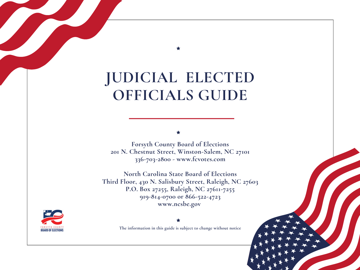# **JUDICIAL ELECTED OFFICIALS GUIDE**

**Forsyth County Board of Elections 201 N. Chestnut Street, Winston-Salem, NC 27101 336-703-2800 - www.fcvotes.com**

**North Carolina State Board of Elections Third Floor, 430 N. Salisbury Street, Raleigh, NC 27603 P.O. Box 27255, Raleigh, NC 27611-7255 919-814-0700 or 866-522-4723 www.ncsbe.gov**



**The information in this guide is subject to change without notice**